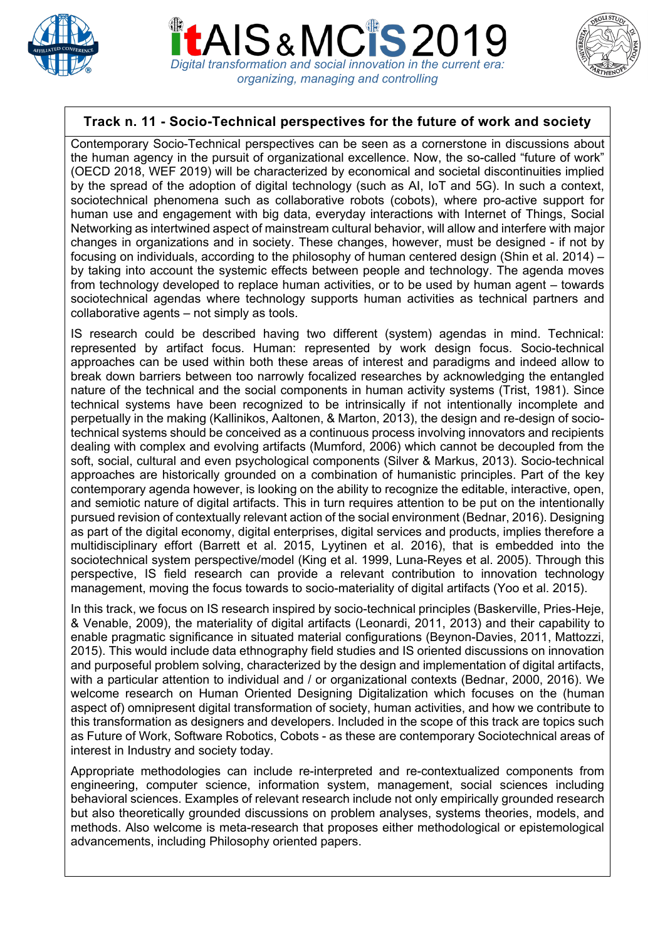

*Digital transformation and social innovation in the current era: organizing, managing and controlling*



## **Track n. 11 - Socio-Technical perspectives for the future of work and society**

Contemporary Socio-Technical perspectives can be seen as a cornerstone in discussions about the human agency in the pursuit of organizational excellence. Now, the so-called "future of work" (OECD 2018, WEF 2019) will be characterized by economical and societal discontinuities implied by the spread of the adoption of digital technology (such as AI, IoT and 5G). In such a context, sociotechnical phenomena such as collaborative robots (cobots), where pro-active support for human use and engagement with big data, everyday interactions with Internet of Things, Social Networking as intertwined aspect of mainstream cultural behavior, will allow and interfere with major changes in organizations and in society. These changes, however, must be designed - if not by focusing on individuals, according to the philosophy of human centered design (Shin et al. 2014) – by taking into account the systemic effects between people and technology. The agenda moves from technology developed to replace human activities, or to be used by human agent – towards sociotechnical agendas where technology supports human activities as technical partners and collaborative agents – not simply as tools.

IS research could be described having two different (system) agendas in mind. Technical: represented by artifact focus. Human: represented by work design focus. Socio-technical approaches can be used within both these areas of interest and paradigms and indeed allow to break down barriers between too narrowly focalized researches by acknowledging the entangled nature of the technical and the social components in human activity systems (Trist, 1981). Since technical systems have been recognized to be intrinsically if not intentionally incomplete and perpetually in the making (Kallinikos, Aaltonen, & Marton, 2013), the design and re-design of sociotechnical systems should be conceived as a continuous process involving innovators and recipients dealing with complex and evolving artifacts (Mumford, 2006) which cannot be decoupled from the soft, social, cultural and even psychological components (Silver & Markus, 2013). Socio-technical approaches are historically grounded on a combination of humanistic principles. Part of the key contemporary agenda however, is looking on the ability to recognize the editable, interactive, open, and semiotic nature of digital artifacts. This in turn requires attention to be put on the intentionally pursued revision of contextually relevant action of the social environment (Bednar, 2016). Designing as part of the digital economy, digital enterprises, digital services and products, implies therefore a multidisciplinary effort (Barrett et al. 2015, Lyytinen et al. 2016), that is embedded into the sociotechnical system perspective/model (King et al. 1999, Luna-Reyes et al. 2005). Through this perspective, IS field research can provide a relevant contribution to innovation technology management, moving the focus towards to socio-materiality of digital artifacts (Yoo et al. 2015).

In this track, we focus on IS research inspired by socio-technical principles (Baskerville, Pries-Heje, & Venable, 2009), the materiality of digital artifacts (Leonardi, 2011, 2013) and their capability to enable pragmatic significance in situated material configurations (Beynon-Davies, 2011, Mattozzi, 2015). This would include data ethnography field studies and IS oriented discussions on innovation and purposeful problem solving, characterized by the design and implementation of digital artifacts, with a particular attention to individual and / or organizational contexts (Bednar, 2000, 2016). We welcome research on Human Oriented Designing Digitalization which focuses on the (human aspect of) omnipresent digital transformation of society, human activities, and how we contribute to this transformation as designers and developers. Included in the scope of this track are topics such as Future of Work, Software Robotics, Cobots - as these are contemporary Sociotechnical areas of interest in Industry and society today.

Appropriate methodologies can include re-interpreted and re-contextualized components from engineering, computer science, information system, management, social sciences including behavioral sciences. Examples of relevant research include not only empirically grounded research but also theoretically grounded discussions on problem analyses, systems theories, models, and methods. Also welcome is meta-research that proposes either methodological or epistemological advancements, including Philosophy oriented papers.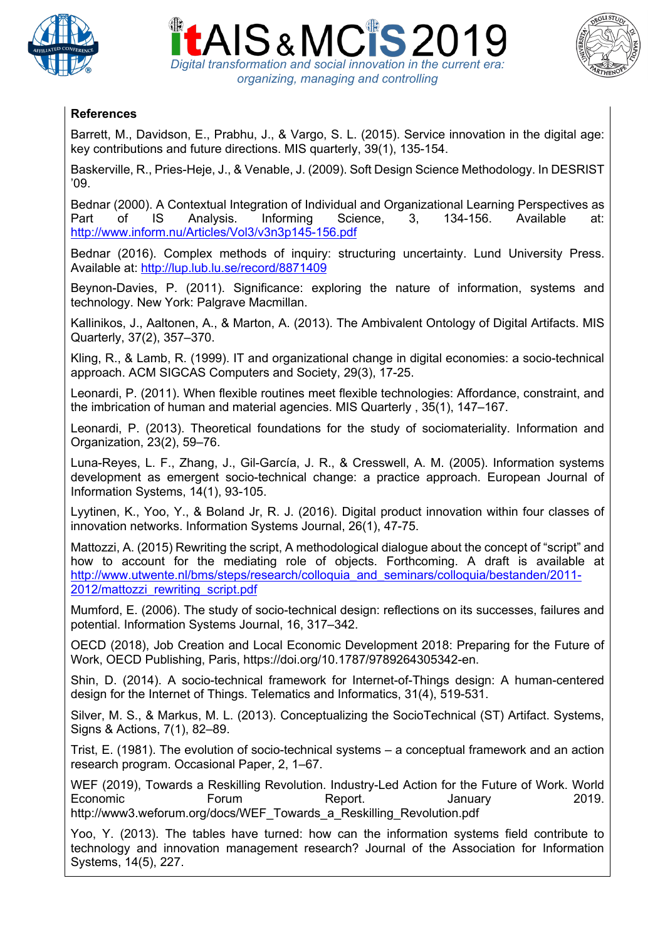





## **References**

Barrett, M., Davidson, E., Prabhu, J., & Vargo, S. L. (2015). Service innovation in the digital age: key contributions and future directions. MIS quarterly, 39(1), 135-154.

Baskerville, R., Pries-Heje, J., & Venable, J. (2009). Soft Design Science Methodology. In DESRIST '09.

Bednar (2000). A Contextual Integration of Individual and Organizational Learning Perspectives as Part of IS Analysis. Informing Science, 3, 134-156. Available at: http://www.inform.nu/Articles/Vol3/v3n3p145-156.pdf

Bednar (2016). Complex methods of inquiry: structuring uncertainty. Lund University Press. Available at: http://lup.lub.lu.se/record/8871409

Beynon-Davies, P. (2011). Significance: exploring the nature of information, systems and technology. New York: Palgrave Macmillan.

Kallinikos, J., Aaltonen, A., & Marton, A. (2013). The Ambivalent Ontology of Digital Artifacts. MIS Quarterly, 37(2), 357–370.

Kling, R., & Lamb, R. (1999). IT and organizational change in digital economies: a socio-technical approach. ACM SIGCAS Computers and Society, 29(3), 17-25.

Leonardi, P. (2011). When flexible routines meet flexible technologies: Affordance, constraint, and the imbrication of human and material agencies. MIS Quarterly , 35(1), 147–167.

Leonardi, P. (2013). Theoretical foundations for the study of sociomateriality. Information and Organization, 23(2), 59–76.

Luna-Reyes, L. F., Zhang, J., Gil-García, J. R., & Cresswell, A. M. (2005). Information systems development as emergent socio-technical change: a practice approach. European Journal of Information Systems, 14(1), 93-105.

Lyytinen, K., Yoo, Y., & Boland Jr, R. J. (2016). Digital product innovation within four classes of innovation networks. Information Systems Journal, 26(1), 47-75.

Mattozzi, A. (2015) Rewriting the script, A methodological dialogue about the concept of "script" and how to account for the mediating role of objects. Forthcoming. A draft is available at http://www.utwente.nl/bms/steps/research/colloquia\_and\_seminars/colloquia/bestanden/2011-2012/mattozzi rewriting script.pdf

Mumford, E. (2006). The study of socio-technical design: reflections on its successes, failures and potential. Information Systems Journal, 16, 317–342.

OECD (2018), Job Creation and Local Economic Development 2018: Preparing for the Future of Work, OECD Publishing, Paris, https://doi.org/10.1787/9789264305342-en.

Shin, D. (2014). A socio-technical framework for Internet-of-Things design: A human-centered design for the Internet of Things. Telematics and Informatics, 31(4), 519-531.

Silver, M. S., & Markus, M. L. (2013). Conceptualizing the SocioTechnical (ST) Artifact. Systems, Signs & Actions, 7(1), 82–89.

Trist, E. (1981). The evolution of socio-technical systems – a conceptual framework and an action research program. Occasional Paper, 2, 1–67.

WEF (2019), Towards a Reskilling Revolution. Industry-Led Action for the Future of Work. World Economic **Forum** Report. January 2019. http://www3.weforum.org/docs/WEF\_Towards\_a\_Reskilling\_Revolution.pdf

Yoo, Y. (2013). The tables have turned: how can the information systems field contribute to technology and innovation management research? Journal of the Association for Information Systems, 14(5), 227.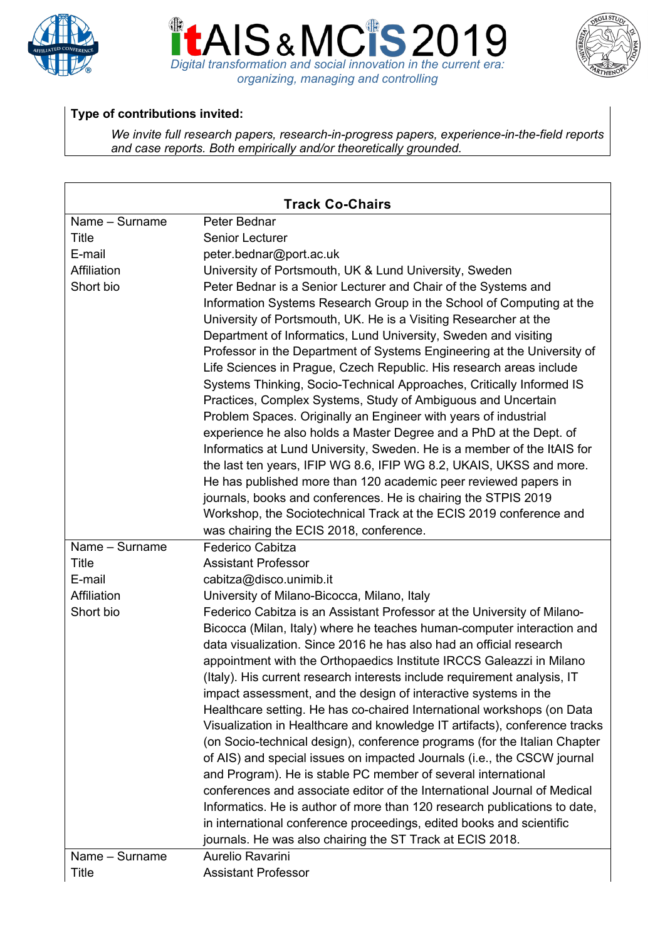





## **Type of contributions invited:**

*We invite full research papers, research-in-progress papers, experience-in-the-field reports and case reports. Both empirically and/or theoretically grounded.*

| <b>Track Co-Chairs</b> |                                                                            |
|------------------------|----------------------------------------------------------------------------|
| Name - Surname         | Peter Bednar                                                               |
| Title                  | Senior Lecturer                                                            |
| E-mail                 | peter.bednar@port.ac.uk                                                    |
| Affiliation            | University of Portsmouth, UK & Lund University, Sweden                     |
| Short bio              | Peter Bednar is a Senior Lecturer and Chair of the Systems and             |
|                        | Information Systems Research Group in the School of Computing at the       |
|                        | University of Portsmouth, UK. He is a Visiting Researcher at the           |
|                        | Department of Informatics, Lund University, Sweden and visiting            |
|                        | Professor in the Department of Systems Engineering at the University of    |
|                        | Life Sciences in Prague, Czech Republic. His research areas include        |
|                        | Systems Thinking, Socio-Technical Approaches, Critically Informed IS       |
|                        | Practices, Complex Systems, Study of Ambiguous and Uncertain               |
|                        | Problem Spaces. Originally an Engineer with years of industrial            |
|                        | experience he also holds a Master Degree and a PhD at the Dept. of         |
|                        | Informatics at Lund University, Sweden. He is a member of the ItAIS for    |
|                        | the last ten years, IFIP WG 8.6, IFIP WG 8.2, UKAIS, UKSS and more.        |
|                        | He has published more than 120 academic peer reviewed papers in            |
|                        | journals, books and conferences. He is chairing the STPIS 2019             |
|                        | Workshop, the Sociotechnical Track at the ECIS 2019 conference and         |
|                        | was chairing the ECIS 2018, conference.                                    |
| Name - Surname         | <b>Federico Cabitza</b>                                                    |
| Title                  | <b>Assistant Professor</b>                                                 |
| E-mail                 | cabitza@disco.unimib.it                                                    |
| Affiliation            | University of Milano-Bicocca, Milano, Italy                                |
| Short bio              | Federico Cabitza is an Assistant Professor at the University of Milano-    |
|                        | Bicocca (Milan, Italy) where he teaches human-computer interaction and     |
|                        | data visualization. Since 2016 he has also had an official research        |
|                        | appointment with the Orthopaedics Institute IRCCS Galeazzi in Milano       |
|                        | (Italy). His current research interests include requirement analysis, IT   |
|                        | impact assessment, and the design of interactive systems in the            |
|                        | Healthcare setting. He has co-chaired International workshops (on Data     |
|                        | Visualization in Healthcare and knowledge IT artifacts), conference tracks |
|                        | (on Socio-technical design), conference programs (for the Italian Chapter  |
|                        | of AIS) and special issues on impacted Journals (i.e., the CSCW journal    |
|                        | and Program). He is stable PC member of several international              |
|                        | conferences and associate editor of the International Journal of Medical   |
|                        | Informatics. He is author of more than 120 research publications to date,  |
|                        | in international conference proceedings, edited books and scientific       |
|                        | journals. He was also chairing the ST Track at ECIS 2018.                  |
| Name - Surname         | Aurelio Ravarini                                                           |
| Title                  | <b>Assistant Professor</b>                                                 |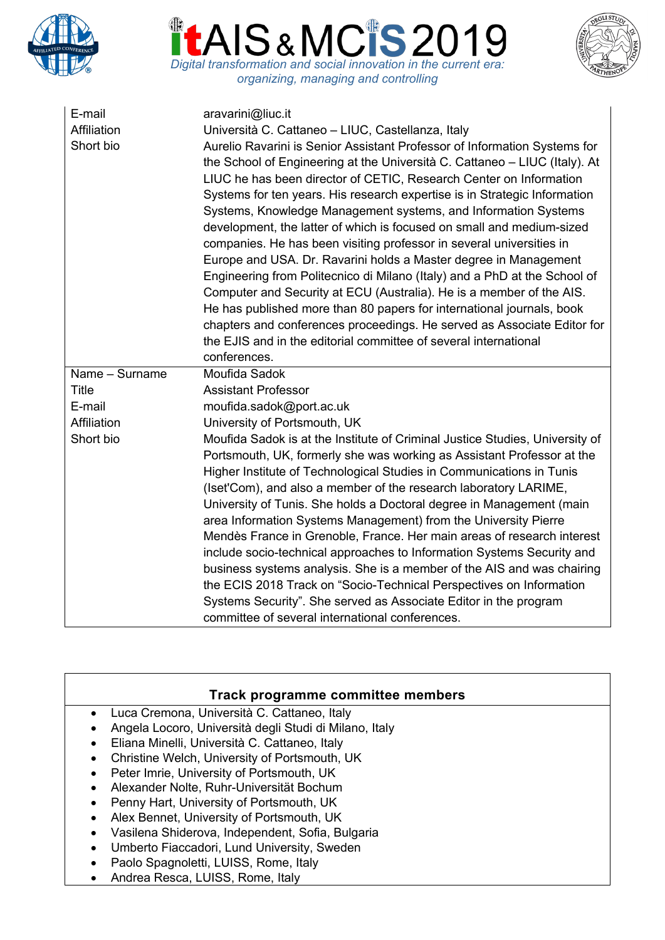





| E-mail<br>Affiliation<br>Short bio | aravarini@liuc.it<br>Università C. Cattaneo - LIUC, Castellanza, Italy<br>Aurelio Ravarini is Senior Assistant Professor of Information Systems for<br>the School of Engineering at the Università C. Cattaneo – LIUC (Italy). At<br>LIUC he has been director of CETIC, Research Center on Information<br>Systems for ten years. His research expertise is in Strategic Information<br>Systems, Knowledge Management systems, and Information Systems<br>development, the latter of which is focused on small and medium-sized<br>companies. He has been visiting professor in several universities in<br>Europe and USA. Dr. Ravarini holds a Master degree in Management<br>Engineering from Politecnico di Milano (Italy) and a PhD at the School of<br>Computer and Security at ECU (Australia). He is a member of the AIS.<br>He has published more than 80 papers for international journals, book<br>chapters and conferences proceedings. He served as Associate Editor for<br>the EJIS and in the editorial committee of several international<br>conferences. |
|------------------------------------|--------------------------------------------------------------------------------------------------------------------------------------------------------------------------------------------------------------------------------------------------------------------------------------------------------------------------------------------------------------------------------------------------------------------------------------------------------------------------------------------------------------------------------------------------------------------------------------------------------------------------------------------------------------------------------------------------------------------------------------------------------------------------------------------------------------------------------------------------------------------------------------------------------------------------------------------------------------------------------------------------------------------------------------------------------------------------|
| Name - Surname                     | Moufida Sadok                                                                                                                                                                                                                                                                                                                                                                                                                                                                                                                                                                                                                                                                                                                                                                                                                                                                                                                                                                                                                                                            |
| Title                              | <b>Assistant Professor</b>                                                                                                                                                                                                                                                                                                                                                                                                                                                                                                                                                                                                                                                                                                                                                                                                                                                                                                                                                                                                                                               |
| E-mail                             | moufida.sadok@port.ac.uk                                                                                                                                                                                                                                                                                                                                                                                                                                                                                                                                                                                                                                                                                                                                                                                                                                                                                                                                                                                                                                                 |
| Affiliation                        | University of Portsmouth, UK                                                                                                                                                                                                                                                                                                                                                                                                                                                                                                                                                                                                                                                                                                                                                                                                                                                                                                                                                                                                                                             |
| Short bio                          | Moufida Sadok is at the Institute of Criminal Justice Studies, University of<br>Portsmouth, UK, formerly she was working as Assistant Professor at the<br>Higher Institute of Technological Studies in Communications in Tunis<br>(Iset'Com), and also a member of the research laboratory LARIME,<br>University of Tunis. She holds a Doctoral degree in Management (main<br>area Information Systems Management) from the University Pierre<br>Mendès France in Grenoble, France. Her main areas of research interest<br>include socio-technical approaches to Information Systems Security and<br>business systems analysis. She is a member of the AIS and was chairing<br>the ECIS 2018 Track on "Socio-Technical Perspectives on Information<br>Systems Security". She served as Associate Editor in the program<br>committee of several international conferences.                                                                                                                                                                                                |

| Track programme committee members                             |
|---------------------------------------------------------------|
|                                                               |
| Luca Cremona, Università C. Cattaneo, Italy<br>$\bullet$      |
| Angela Locoro, Università degli Studi di Milano, Italy        |
| Eliana Minelli, Università C. Cattaneo, Italy                 |
| Christine Welch, University of Portsmouth, UK<br>$\bullet$    |
| Peter Imrie, University of Portsmouth, UK                     |
| Alexander Nolte, Ruhr-Universität Bochum                      |
| Penny Hart, University of Portsmouth, UK                      |
| Alex Bennet, University of Portsmouth, UK                     |
| Vasilena Shiderova, Independent, Sofia, Bulgaria<br>$\bullet$ |
| Umberto Fiaccadori, Lund University, Sweden<br>$\bullet$      |
|                                                               |

- Paolo Spagnoletti, LUISS, Rome, Italy
- Andrea Resca, LUISS, Rome, Italy